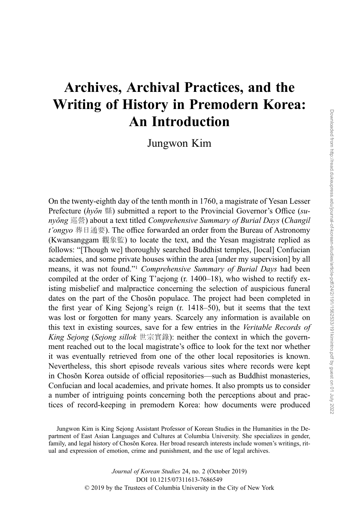## Archives, Archival Practices, and the Writing of History in Premodern Korea: An Introduction

Jungwon Kim

On the twenty-eighth day of the tenth month in 1760, a magistrate of Yesan Lesser Prefecture (hyŏn 縣) submitted a report to the Provincial Governor's Office (sunyŏng 巡營) about a text titled Comprehensive Summary of Burial Days (Changil t'ongyo 葬日通要). The office forwarded an order from the Bureau of Astronomy (Kwansanggam 觀象監) to locate the text, and the Yesan magistrate replied as follows: "[Though we] thoroughly searched Buddhist temples, [local] Confucian academies, and some private houses within the area [under my supervision] by all means, it was not found."<sup>1</sup> Comprehensive Summary of Burial Days had been compiled at the order of King T'aejong (r. 1400–18), who wished to rectify existing misbelief and malpractice concerning the selection of auspicious funeral dates on the part of the Chosŏn populace. The project had been completed in the first year of King Sejong's reign (r. 1418–50), but it seems that the text was lost or forgotten for many years. Scarcely any information is available on this text in existing sources, save for a few entries in the Veritable Records of King Sejong (Sejong sillok 世宗實錄): neither the context in which the government reached out to the local magistrate's office to look for the text nor whether it was eventually retrieved from one of the other local repositories is known. Nevertheless, this short episode reveals various sites where records were kept in Chosŏn Korea outside of official repositories—such as Buddhist monasteries, Confucian and local academies, and private homes. It also prompts us to consider a number of intriguing points concerning both the perceptions about and practices of record-keeping in premodern Korea: how documents were produced

Jungwon Kim is King Sejong Assistant Professor of Korean Studies in the Humanities in the Department of East Asian Languages and Cultures at Columbia University. She specializes in gender, family, and legal history of Chosŏn Korea. Her broad research interests include women's writings, ritual and expression of emotion, crime and punishment, and the use of legal archives.

> Journal of Korean Studies 24, no. 2 (October 2019) DOI 10.1215/07311613-7686549 © 2019 by the Trustees of Columbia University in the City of New York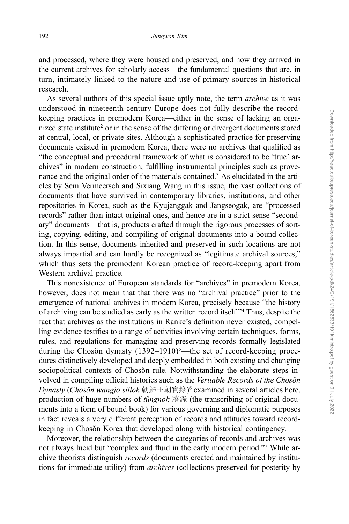and processed, where they were housed and preserved, and how they arrived in the current archives for scholarly access—the fundamental questions that are, in turn, intimately linked to the nature and use of primary sources in historical research.

As several authors of this special issue aptly note, the term archive as it was understood in nineteenth-century Europe does not fully describe the recordkeeping practices in premodern Korea—either in the sense of lacking an organized state institute<sup>2</sup> or in the sense of the differing or divergent documents stored at central, local, or private sites. Although a sophisticated practice for preserving documents existed in premodern Korea, there were no archives that qualified as "the conceptual and procedural framework of what is considered to be 'true' archives" in modern construction, fulfilling instrumental principles such as provenance and the original order of the materials contained.3 As elucidated in the articles by Sem Vermeersch and Sixiang Wang in this issue, the vast collections of documents that have survived in contemporary libraries, institutions, and other repositories in Korea, such as the Kyujanggak and Jangseogak, are "processed records" rather than intact original ones, and hence are in a strict sense "secondary" documents—that is, products crafted through the rigorous processes of sorting, copying, editing, and compiling of original documents into a bound collection. In this sense, documents inherited and preserved in such locations are not always impartial and can hardly be recognized as "legitimate archival sources," which thus sets the premodern Korean practice of record-keeping apart from Western archival practice.

This nonexistence of European standards for "archives" in premodern Korea, however, does not mean that that there was no "archival practice" prior to the emergence of national archives in modern Korea, precisely because "the history of archiving can be studied as early as the written record itself."<sup>4</sup> Thus, despite the fact that archives as the institutions in Ranke's definition never existed, compelling evidence testifies to a range of activities involving certain techniques, forms, rules, and regulations for managing and preserving records formally legislated during the Chosŏn dynasty (1392-1910)<sup>5</sup>—the set of record-keeping procedures distinctively developed and deeply embedded in both existing and changing sociopolitical contexts of Chosŏn rule. Notwithstanding the elaborate steps involved in compiling official histories such as the Veritable Records of the Chosŏn Dynasty (Chosŏn wangjo sillok 朝鮮王朝實錄)<sup>6</sup> examined in several articles here, production of huge numbers of tŭngnok 謄錄 (the transcribing of original documents into a form of bound book) for various governing and diplomatic purposes in fact reveals a very different perception of records and attitudes toward recordkeeping in Chosŏn Korea that developed along with historical contingency.

Moreover, the relationship between the categories of records and archives was not always lucid but "complex and fluid in the early modern period."<sup>7</sup> While archive theorists distinguish records (documents created and maintained by institutions for immediate utility) from archives (collections preserved for posterity by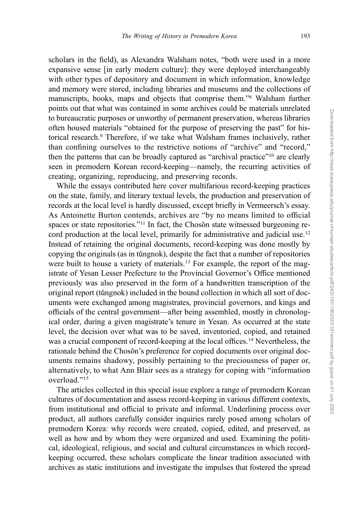scholars in the field), as Alexandra Walsham notes, "both were used in a more expansive sense [in early modern culture]: they were deployed interchangeably with other types of depository and document in which information, knowledge and memory were stored, including libraries and museums and the collections of manuscripts, books, maps and objects that comprise them."<sup>8</sup> Walsham further points out that what was contained in some archives could be materials unrelated to bureaucratic purposes or unworthy of permanent preservation, whereas libraries often housed materials "obtained for the purpose of preserving the past" for historical research.9 Therefore, if we take what Walsham frames inclusively, rather than confining ourselves to the restrictive notions of "archive" and "record," then the patterns that can be broadly captured as "archival practice"<sup>10</sup> are clearly seen in premodern Korean record-keeping—namely, the recurring activities of creating, organizing, reproducing, and preserving records.

While the essays contributed here cover multifarious record-keeping practices on the state, family, and literary textual levels, the production and preservation of records at the local level is hardly discussed, except briefly in Vermeersch's essay. As Antoinette Burton contends, archives are "by no means limited to official spaces or state repositories."<sup>11</sup> In fact, the Chosŏn state witnessed burgeoning record production at the local level, primarily for administrative and judicial use.<sup>12</sup> Instead of retaining the original documents, record-keeping was done mostly by copying the originals (as in tŭngnok), despite the fact that a number of repositories were built to house a variety of materials.<sup>13</sup> For example, the report of the magistrate of Yesan Lesser Prefecture to the Provincial Governor's Office mentioned previously was also preserved in the form of a handwritten transcription of the original report (tŭngnok) included in the bound collection in which all sort of documents were exchanged among magistrates, provincial governors, and kings and officials of the central government—after being assembled, mostly in chronological order, during a given magistrate's tenure in Yesan. As occurred at the state level, the decision over what was to be saved, inventoried, copied, and retained was a crucial component of record-keeping at the local offices.14 Nevertheless, the rationale behind the Chosŏn's preference for copied documents over original documents remains shadowy, possibly pertaining to the preciousness of paper or, alternatively, to what Ann Blair sees as a strategy for coping with "information overload."<sup>15</sup>

The articles collected in this special issue explore a range of premodern Korean cultures of documentation and assess record-keeping in various different contexts, from institutional and official to private and informal. Underlining process over product, all authors carefully consider inquiries rarely posed among scholars of premodern Korea: why records were created, copied, edited, and preserved, as well as how and by whom they were organized and used. Examining the political, ideological, religious, and social and cultural circumstances in which recordkeeping occurred, these scholars complicate the linear tradition associated with archives as static institutions and investigate the impulses that fostered the spread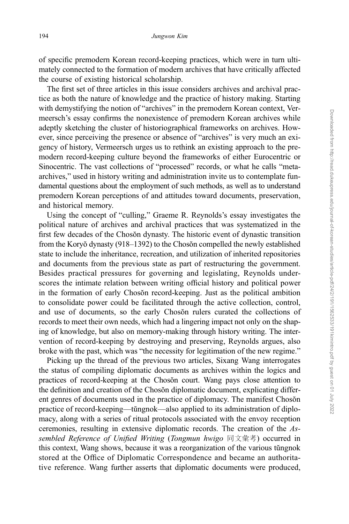of specific premodern Korean record-keeping practices, which were in turn ultimately connected to the formation of modern archives that have critically affected the course of existing historical scholarship.

The first set of three articles in this issue considers archives and archival practice as both the nature of knowledge and the practice of history making. Starting with demystifying the notion of "archives" in the premodern Korean context, Vermeersch's essay confirms the nonexistence of premodern Korean archives while adeptly sketching the cluster of historiographical frameworks on archives. However, since perceiving the presence or absence of "archives" is very much an exigency of history, Vermeersch urges us to rethink an existing approach to the premodern record-keeping culture beyond the frameworks of either Eurocentric or Sinocentric. The vast collections of "processed" records, or what he calls "metaarchives," used in history writing and administration invite us to contemplate fundamental questions about the employment of such methods, as well as to understand premodern Korean perceptions of and attitudes toward documents, preservation, and historical memory.

Using the concept of "culling," Graeme R. Reynolds's essay investigates the political nature of archives and archival practices that was systematized in the first few decades of the Chosŏn dynasty. The historic event of dynastic transition from the Koryŏ dynasty (918–1392) to the Chosŏn compelled the newly established state to include the inheritance, recreation, and utilization of inherited repositories and documents from the previous state as part of restructuring the government. Besides practical pressures for governing and legislating, Reynolds underscores the intimate relation between writing official history and political power in the formation of early Chosŏn record-keeping. Just as the political ambition to consolidate power could be facilitated through the active collection, control, and use of documents, so the early Chosŏn rulers curated the collections of records to meet their own needs, which had a lingering impact not only on the shaping of knowledge, but also on memory-making through history writing. The intervention of record-keeping by destroying and preserving, Reynolds argues, also broke with the past, which was "the necessity for legitimation of the new regime."

Picking up the thread of the previous two articles, Sixang Wang interrogates the status of compiling diplomatic documents as archives within the logics and practices of record-keeping at the Chosŏn court. Wang pays close attention to the definition and creation of the Chosŏn diplomatic document, explicating different genres of documents used in the practice of diplomacy. The manifest Chosŏn practice of record-keeping—tŭngnok—also applied to its administration of diplomacy, along with a series of ritual protocols associated with the envoy reception ceremonies, resulting in extensive diplomatic records. The creation of the Assembled Reference of Unified Writing (Tongmun hwigo 同文彙考) occurred in this context, Wang shows, because it was a reorganization of the various tŭngnok stored at the Office of Diplomatic Correspondence and became an authoritative reference. Wang further asserts that diplomatic documents were produced,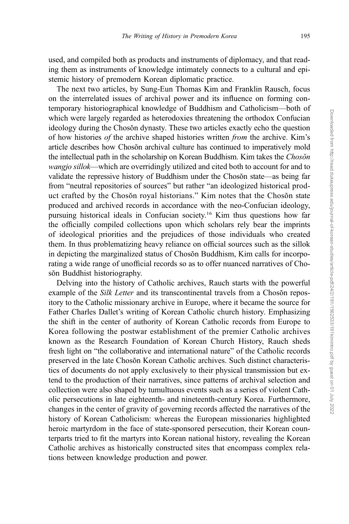used, and compiled both as products and instruments of diplomacy, and that reading them as instruments of knowledge intimately connects to a cultural and epistemic history of premodern Korean diplomatic practice.

The next two articles, by Sung-Eun Thomas Kim and Franklin Rausch, focus on the interrelated issues of archival power and its influence on forming contemporary historiographical knowledge of Buddhism and Catholicism—both of which were largely regarded as heterodoxies threatening the orthodox Confucian ideology during the Chosŏn dynasty. These two articles exactly echo the question of how histories of the archive shaped histories written from the archive. Kim's article describes how Chosŏn archival culture has continued to imperatively mold the intellectual path in the scholarship on Korean Buddhism. Kim takes the Chosŏn wangjo sillok—which are overridingly utilized and cited both to account for and to validate the repressive history of Buddhism under the Chosŏn state—as being far from "neutral repositories of sources" but rather "an ideologized historical product crafted by the Chosŏn royal historians." Kim notes that the Chosŏn state produced and archived records in accordance with the neo-Confucian ideology, pursuing historical ideals in Confucian society.16 Kim thus questions how far the officially compiled collections upon which scholars rely bear the imprints of ideological priorities and the prejudices of those individuals who created them. In thus problematizing heavy reliance on official sources such as the sillok in depicting the marginalized status of Chosŏn Buddhism, Kim calls for incorporating a wide range of unofficial records so as to offer nuanced narratives of Chosŏn Buddhist historiography.

Delving into the history of Catholic archives, Rauch starts with the powerful example of the *Silk Letter* and its transcontinental travels from a Chosŏn repository to the Catholic missionary archive in Europe, where it became the source for Father Charles Dallet's writing of Korean Catholic church history. Emphasizing the shift in the center of authority of Korean Catholic records from Europe to Korea following the postwar establishment of the premier Catholic archives known as the Research Foundation of Korean Church History, Rauch sheds fresh light on "the collaborative and international nature" of the Catholic records preserved in the late Chosŏn Korean Catholic archives. Such distinct characteristics of documents do not apply exclusively to their physical transmission but extend to the production of their narratives, since patterns of archival selection and collection were also shaped by tumultuous events such as a series of violent Catholic persecutions in late eighteenth- and nineteenth-century Korea. Furthermore, changes in the center of gravity of governing records affected the narratives of the history of Korean Catholicism: whereas the European missionaries highlighted heroic martyrdom in the face of state-sponsored persecution, their Korean counterparts tried to fit the martyrs into Korean national history, revealing the Korean Catholic archives as historically constructed sites that encompass complex relations between knowledge production and power.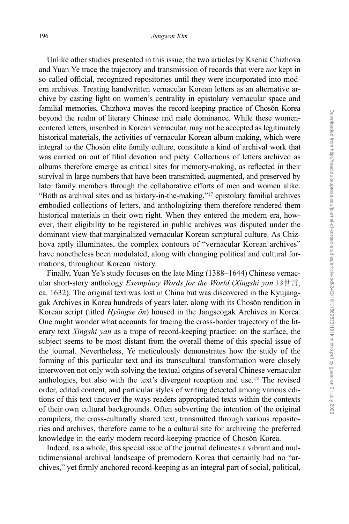Unlike other studies presented in this issue, the two articles by Ksenia Chizhova and Yuan Ye trace the trajectory and transmission of records that were not kept in so-called official, recognized repositories until they were incorporated into modern archives. Treating handwritten vernacular Korean letters as an alternative archive by casting light on women's centrality in epistolary vernacular space and familial memories, Chizhova moves the record-keeping practice of Chosŏn Korea beyond the realm of literary Chinese and male dominance. While these womencentered letters, inscribed in Korean vernacular, may not be accepted as legitimately historical materials, the activities of vernacular Korean album-making, which were integral to the Chosŏn elite family culture, constitute a kind of archival work that was carried on out of filial devotion and piety. Collections of letters archived as albums therefore emerge as critical sites for memory-making, as reflected in their survival in large numbers that have been transmitted, augmented, and preserved by later family members through the collaborative efforts of men and women alike. "Both as archival sites and as history-in-the-making,"<sup>17</sup> epistolary familial archives embodied collections of letters, and anthologizing them therefore rendered them historical materials in their own right. When they entered the modern era, however, their eligibility to be registered in public archives was disputed under the dominant view that marginalized vernacular Korean scriptural culture. As Chizhova aptly illuminates, the complex contours of "vernacular Korean archives" have nonetheless been modulated, along with changing political and cultural formations, throughout Korean history.

Finally, Yuan Ye's study focuses on the late Ming (1388–1644) Chinese vernacular short-story anthology *Exemplary Words for the World (Xingshi yan* 形世言, ca. 1632). The original text was lost in China but was discovered in the Kyujanggak Archives in Korea hundreds of years later, along with its Chosŏn rendition in Korean script (titled Hyŏngse ŏn) housed in the Jangseogak Archives in Korea. One might wonder what accounts for tracing the cross-border trajectory of the literary text Xingshi yan as a trope of record-keeping practice: on the surface, the subject seems to be most distant from the overall theme of this special issue of the journal. Nevertheless, Ye meticulously demonstrates how the study of the forming of this particular text and its transcultural transformation were closely interwoven not only with solving the textual origins of several Chinese vernacular anthologies, but also with the text's divergent reception and use.18 The revised order, edited content, and particular styles of writing detected among various editions of this text uncover the ways readers appropriated texts within the contexts of their own cultural backgrounds. Often subverting the intention of the original compilers, the cross-culturally shared text, transmitted through various repositories and archives, therefore came to be a cultural site for archiving the preferred knowledge in the early modern record-keeping practice of Chosŏn Korea.

Indeed, as a whole, this special issue of the journal delineates a vibrant and multidimensional archival landscape of premodern Korea that certainly had no "archives," yet firmly anchored record-keeping as an integral part of social, political,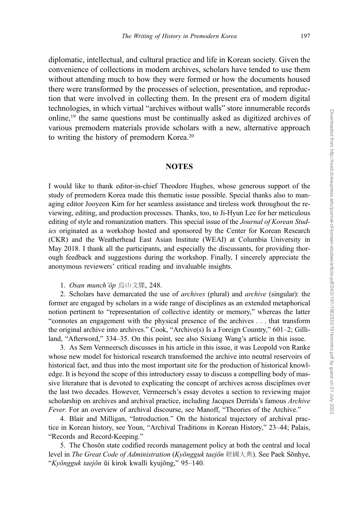diplomatic, intellectual, and cultural practice and life in Korean society. Given the convenience of collections in modern archives, scholars have tended to use them without attending much to how they were formed or how the documents housed there were transformed by the processes of selection, presentation, and reproduction that were involved in collecting them. In the present era of modern digital technologies, in which virtual "archives without walls" store innumerable records online,19 the same questions must be continually asked as digitized archives of various premodern materials provide scholars with a new, alternative approach to writing the history of premodern Korea.20

## **NOTES**

I would like to thank editor-in-chief Theodore Hughes, whose generous support of the study of premodern Korea made this thematic issue possible. Special thanks also to managing editor Jooyeon Kim for her seamless assistance and tireless work throughout the reviewing, editing, and production processes. Thanks, too, to Ji-Hyun Lee for her meticulous editing of style and romanization matters. This special issue of the *Journal of Korean Stud*ies originated as a workshop hosted and sponsored by the Center for Korean Research (CKR) and the Weatherhead East Asian Institute (WEAI) at Columbia University in May 2018. I thank all the participants, and especially the discussants, for providing thorough feedback and suggestions during the workshop. Finally, I sincerely appreciate the anonymous reviewers' critical reading and invaluable insights.

1. Osan munch'ŏp 烏山文牒, 248.

2. Scholars have demarcated the use of archives (plural) and archive (singular): the former are engaged by scholars in a wide range of disciplines as an extended metaphorical notion pertinent to "representation of collective identity or memory," whereas the latter "connotes an engagement with the physical presence of the archives . . . that transform the original archive into archives." Cook, "Archive(s) Is a Foreign Country," 601–2; Gilliland, "Afterword," 334–35. On this point, see also Sixiang Wang's article in this issue.

3. As Sem Vermeersch discusses in his article in this issue, it was Leopold von Ranke whose new model for historical research transformed the archive into neutral reservoirs of historical fact, and thus into the most important site for the production of historical knowledge. It is beyond the scope of this introductory essay to discuss a compelling body of massive literature that is devoted to explicating the concept of archives across disciplines over the last two decades. However, Vermeersch's essay devotes a section to reviewing major scholarship on archives and archival practice, including Jacques Derrida's famous Archive Fever. For an overview of archival discourse, see Manoff, "Theories of the Archive."

4. Blair and Milligan, "Introduction." On the historical trajectory of archival practice in Korean history, see Youn, "Archival Traditions in Korean History," 23–44; Palais, "Records and Record-Keeping."

5. The Chosŏn state codified records management policy at both the central and local level in The Great Code of Administration (Kyŏngguk taejŏn 經國大典). See Paek Sŏnhye, "Kyŏngguk taejŏn ŭi kirok kwalli kyujŏng," 95–140.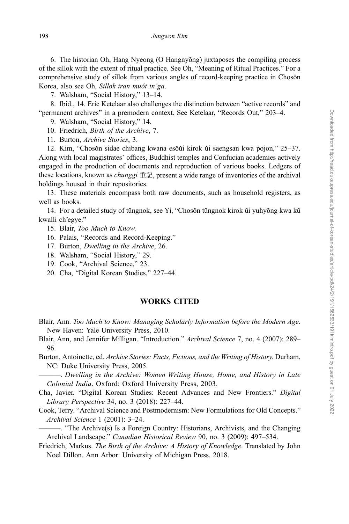6. The historian Oh, Hang Nyeong (O Hangnyŏng) juxtaposes the compiling process of the sillok with the extent of ritual practice. See Oh, "Meaning of Ritual Practices." For a comprehensive study of sillok from various angles of record-keeping practice in Chosŏn Korea, also see Oh, Sillok iran muŏt in'ga.

7. Walsham, "Social History," 13–14.

8. Ibid., 14. Eric Ketelaar also challenges the distinction between "active records" and "permanent archives" in a premodern context. See Ketelaar, "Records Out," 203–4.

9. Walsham, "Social History," 14.

10. Friedrich, Birth of the Archive, 7.

11. Burton, Archive Stories, 3.

12. Kim, "Chosŏn sidae chibang kwana esŏŭi kirok ŭi saengsan kwa pojon," 25–37. Along with local magistrates' offices, Buddhist temples and Confucian academies actively engaged in the production of documents and reproduction of various books. Ledgers of these locations, known as *chunggi* 重記, present a wide range of inventories of the archival holdings housed in their repositories.

13. These materials encompass both raw documents, such as household registers, as well as books.

14. For a detailed study of tŭngnok, see Yi, "Chosŏn tŭngnok kirok ŭi yuhyŏng kwa kŭ kwalli ch'egye."

15. Blair, Too Much to Know.

- 16. Palais, "Records and Record-Keeping."
- 17. Burton, Dwelling in the Archive, 26.
- 18. Walsham, "Social History," 29.
- 19. Cook, "Archival Science," 23.
- 20. Cha, "Digital Korean Studies," 227–44.

## WORKS CITED

- Blair, Ann. Too Much to Know: Managing Scholarly Information before the Modern Age. New Haven: Yale University Press, 2010.
- Blair, Ann, and Jennifer Milligan. "Introduction." Archival Science 7, no. 4 (2007): 289– 96.
- Burton, Antoinette, ed. Archive Stories: Facts, Fictions, and the Writing of History. Durham, NC: Duke University Press, 2005.

———. Dwelling in the Archive: Women Writing House, Home, and History in Late Colonial India. Oxford: Oxford University Press, 2003.

Cha, Javier. "Digital Korean Studies: Recent Advances and New Frontiers." Digital Library Perspective 34, no. 3 (2018): 227–44.

Cook, Terry. "Archival Science and Postmodernism: New Formulations for Old Concepts." Archival Science 1 (2001): 3–24.

———. "The Archive(s) Is a Foreign Country: Historians, Archivists, and the Changing Archival Landscape." Canadian Historical Review 90, no. 3 (2009): 497–534.

Friedrich, Markus. The Birth of the Archive: A History of Knowledge. Translated by John Noel Dillon. Ann Arbor: University of Michigan Press, 2018.